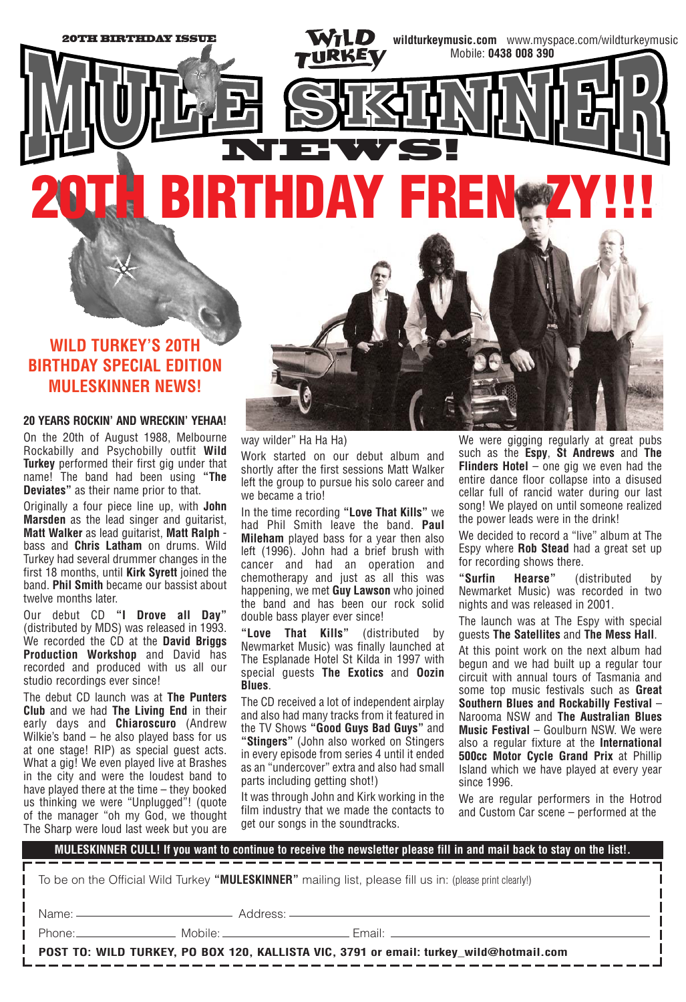# NEWS! **20TH BIRTHDAY FREN ZY!!!**

## **WILD TURKEY'S 20TH BIRTHDAY SPECIAL EDITION MULESKINNER NEWS!**

20TH BIRTHDAY ISSUE

#### **20 YEARS ROCKIN' AND WRECKIN' YEHAA!**

On the 20th of August 1988, Melbourne Rockabilly and Psychobilly outfit **Wild Turkey** performed their first gig under that name! The band had been using **"The Deviates"** as their name prior to that.

Originally a four piece line up, with **John Marsden** as the lead singer and guitarist, **Matt Walker** as lead guitarist, **Matt Ralph** bass and **Chris Latham** on drums. Wild Turkey had several drummer changes in the first 18 months, until **Kirk Syrett** joined the band. **Phil Smith** became our bassist about twelve months later.

Our debut CD **"I Drove all Day"** (distributed by MDS) was released in 1993. We recorded the CD at the **David Briggs Production Workshop** and David has recorded and produced with us all our studio recordings ever since!

The debut CD launch was at **The Punters Club** and we had **The Living End** in their early days and **Chiaroscuro** (Andrew Wilkie's band – he also played bass for us at one stage! RIP) as special guest acts. What a gig! We even played live at Brashes in the city and were the loudest band to have played there at the time – they booked us thinking we were "Unplugged"! (quote of the manager "oh my God, we thought The Sharp were loud last week but you are

way wilder" Ha Ha Ha) Work started on our debut album and shortly after the first sessions Matt Walker left the group to pursue his solo career and we became a trio!

In the time recording **"Love That Kills"** we had Phil Smith leave the band. **Paul Mileham** played bass for a year then also left (1996). John had a brief brush with cancer and had an operation and chemotherapy and just as all this was happening, we met **Guy Lawson** who joined the band and has been our rock solid double bass player ever since!

**"Love That Kills"** (distributed by Newmarket Music) was finally launched at The Esplanade Hotel St Kilda in 1997 with special guests **The Exotics** and **Oozin Blues**.

The CD received a lot of independent airplay and also had many tracks from it featured in the TV Shows **"Good Guys Bad Guys"** and **"Stingers"** (John also worked on Stingers in every episode from series 4 until it ended as an "undercover" extra and also had small parts including getting shot!)

It was through John and Kirk working in the film industry that we made the contacts to get our songs in the soundtracks.

We were gigging regularly at great pubs such as the **Espy**, **St Andrews** and **The Flinders Hotel** – one gig we even had the entire dance floor collapse into a disused cellar full of rancid water during our last song! We played on until someone realized the power leads were in the drink!

**wildturkeymusic.com** www.myspace.com/wildturkeymusic

Mobile: **0438 008 390**

We decided to record a "live" album at The Espy where **Rob Stead** had a great set up for recording shows there.

**"Surfin Hearse"** (distributed by Newmarket Music) was recorded in two nights and was released in 2001.

The launch was at The Espy with special guests **The Satellites** and **The Mess Hall**.

At this point work on the next album had begun and we had built up a regular tour circuit with annual tours of Tasmania and some top music festivals such as **Great Southern Blues and Rockabilly Festival** – Narooma NSW and **The Australian Blues Music Festival** – Goulburn NSW. We were also a regular fixture at the **International 500cc Motor Cycle Grand Prix** at Phillip Island which we have played at every year since 1996.

We are regular performers in the Hotrod and Custom Car scene – performed at the

| MULESKINNER CULL! If you want to continue to receive the newsletter please fill in and mail back to stay on the list!. |  |                               |
|------------------------------------------------------------------------------------------------------------------------|--|-------------------------------|
| To be on the Official Wild Turkey "MULESKINNER" mailing list, please fill us in: (please print clearly!)               |  |                               |
|                                                                                                                        |  |                               |
|                                                                                                                        |  | Phone: Mobile: Mobile: Fmail: |
| POST TO: WILD TURKEY, PO BOX 120, KALLISTA VIC, 3791 or email: turkey_wild@hotmail.com                                 |  |                               |